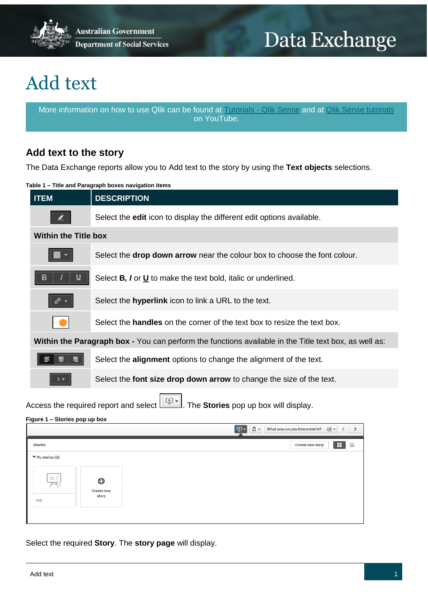

**Australian Government Department of Social Services** 

# Data Exchange

## Add text

More information on how to use Qlik can be found at [Tutorials -](https://help.qlik.com/en-US/sense/2.2/Content/Tutorials.htm) Qlik Sense and at [Qlik Sense tutorials](http://www.bing.com/videos/search?q=qlik+sense+tutorials+youtube&qpvt=qlik+sense+tutorials+youtube&FORM=VDRE) on YouTube.

## **Add text to the story**

The Data Exchange reports allow you to Add text to the story by using the **Text objects** selections.

#### **Table 1 – Title and Paragraph boxes navigation items**



#### **Figure 1 – Stories pop up box**

|                                                                                | $\sqrt{a}$<br>फ़्न∗।<br>What area are you interested in? $\Box$ $\blacksquare$ |  |
|--------------------------------------------------------------------------------|--------------------------------------------------------------------------------|--|
| <b>Stories</b>                                                                 | œ<br>亖<br><b>Create new story</b>                                              |  |
| $\Psi$ My stories (1)                                                          |                                                                                |  |
| $\prod_{i\in I} \frac{1}{\sqrt{n}}$<br>⊕<br><b>Create new</b><br>story<br>test |                                                                                |  |

Select the required **Story**. The **story page** will display.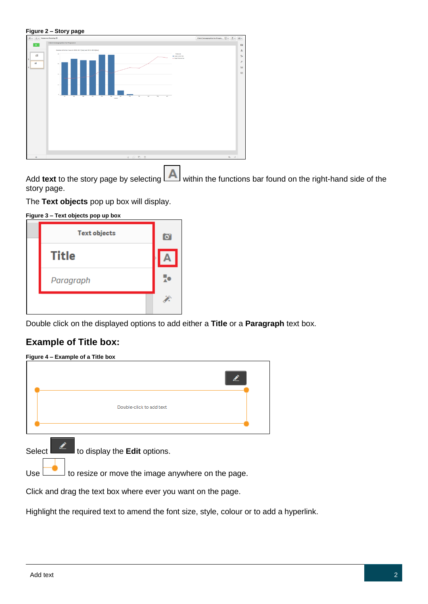#### **Figure 2 – Story page**

| $\emptyset$ v $\Xi$ v Resource Planning |                                                                                                                                                                                                                                                                                                                 | Client Demographics for Progra $\boxed{E}$ v $\boxed{B}$ v $\boxed{m}$ v            |
|-----------------------------------------|-----------------------------------------------------------------------------------------------------------------------------------------------------------------------------------------------------------------------------------------------------------------------------------------------------------------|-------------------------------------------------------------------------------------|
| $\mathbf{r}$                            | Client Demographics for Program A                                                                                                                                                                                                                                                                               | $\Box$                                                                              |
| ãÍ<br>πí                                | Number of Active Cases in 2016-2017 (bar) and 2015-2016 (line)<br>Навали<br>$\alpha$<br><b>E CANADATAN'S</b><br>+ Cesse Previous Veer<br>$\mathbf{X}$<br>$76 -$<br>$18 -$<br>$^{24}$<br>Har<br>Aug.<br>No.<br>Car.<br>$\Delta\phi$<br><b>ALC</b><br><b>Sep</b><br>-an<br>$M_{\rm H2}$<br>Ac.<br>$^{74}$<br>MAYZ | $\mathsf{A}$<br>$\frac{\pi}{\lambda}$<br>x<br>$\overline{\phantom{a}}$<br>$\boxdot$ |
| $\ddot{+}$                              | $+ 0 5 1$                                                                                                                                                                                                                                                                                                       | $m \rightarrow$                                                                     |

Add text to the story page by selecting **AL** within the functions bar found on the right-hand side of the story page.

The **Text objects** pop up box will display.

| <b>Text objects</b> | $\sigma$ |
|---------------------|----------|
| <b>Title</b>        |          |
| Paragraph           | c        |
|                     |          |

Double click on the displayed options to add either a **Title** or a **Paragraph** text box.

### **Example of Title box:**

| Double-click to add text |  |
|--------------------------|--|
|                          |  |

Select  $\begin{array}{|c|c|c|c|c|}\n\hline\n\text{1} & \text{1} & \text{1} & \text{1} \\
\hline\n\text{2} & \text{2} & \text{1} & \text{1} \\
\hline\n\text{3} & \text{2} & \text{1} & \text{1} \\
\hline\n\text{4} & \text{1} & \text{1} & \text{1} \\
\hline\n\text{5} & \text{1} & \text{1} & \text{1} \\
\hline\n\text{6} & \text{1} & \text{1} & \text{1} \\
\hline\n\text{7} & \text{1} & \text{1} & \text{1} \\$ 

 $Use$  to resize or move the image anywhere on the page.

Click and drag the text box where ever you want on the page.

Highlight the required text to amend the font size, style, colour or to add a hyperlink.